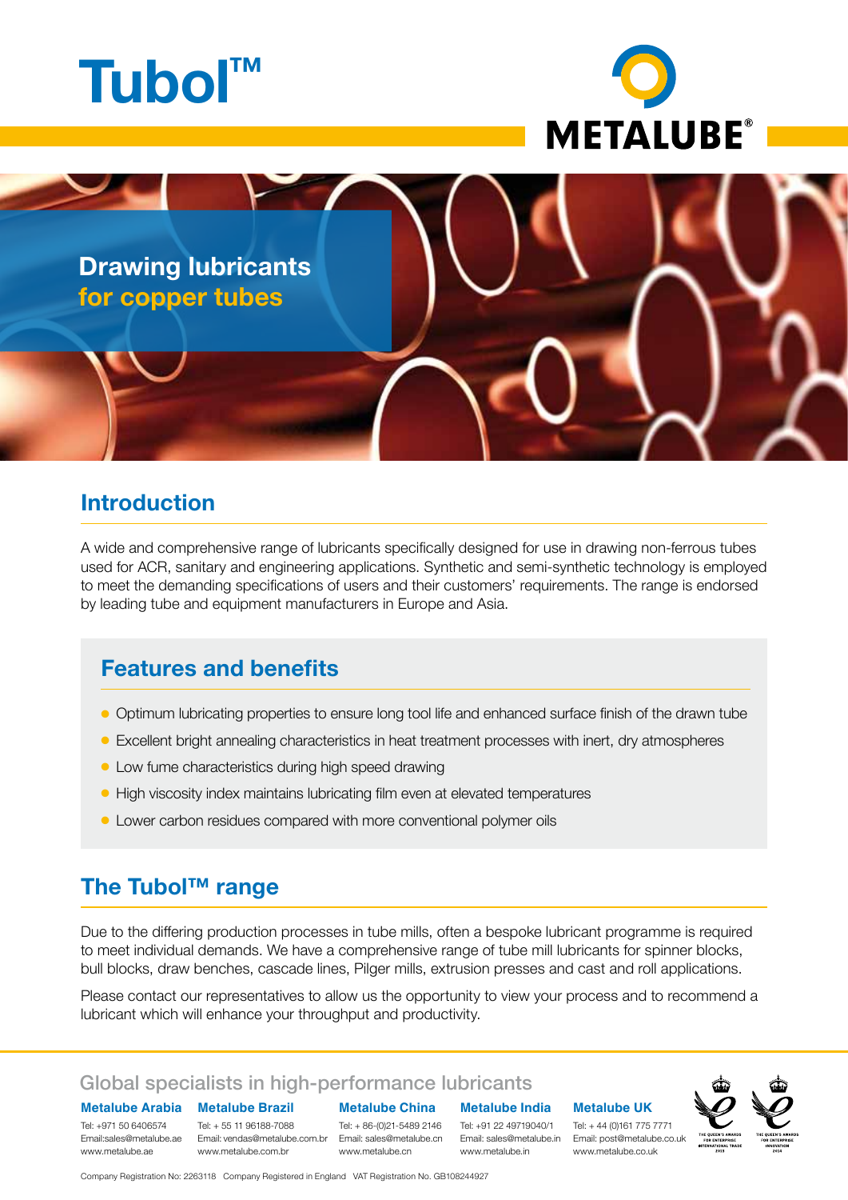



**Drawing lubricants for copper tubes**

### **Introduction**

A wide and comprehensive range of lubricants specifically designed for use in drawing non-ferrous tubes used for ACR, sanitary and engineering applications. Synthetic and semi-synthetic technology is employed to meet the demanding specifications of users and their customers' requirements. The range is endorsed by leading tube and equipment manufacturers in Europe and Asia.

# **Features and benefits**

- l Optimum lubricating properties to ensure long tool life and enhanced surface finish of the drawn tube
- Excellent bright annealing characteristics in heat treatment processes with inert, dry atmospheres
- Low fume characteristics during high speed drawing
- **High viscosity index maintains lubricating film even at elevated temperatures**
- Lower carbon residues compared with more conventional polymer oils

# **The Tubol™ range**

Due to the differing production processes in tube mills, often a bespoke lubricant programme is required to meet individual demands. We have a comprehensive range of tube mill lubricants for spinner blocks, bull blocks, draw benches, cascade lines, Pilger mills, extrusion presses and cast and roll applications.

Please contact our representatives to allow us the opportunity to view your process and to recommend a lubricant which will enhance your throughput and productivity.

#### Global specialists in high-performance lubricants

**Metalube Brazil Metalube Arabia**

Tel: + 55 11 96188-7088 www.metalube.com.br Tel: +971 50 6406574 www.metalube.ae

**Metalube China**

Tel: + 86-(0)21-5489 2146 www.metalube.cn

**Metalube India** Tel: +91 22 49719040/1

www.metalube.in

#### **Metalube UK**

Email:sales@metalube.ae Email: vendas@metalube.com.br Email: sales@metalube.cn Email: sales@metalube.in Email: post@metalube.co.uk Tel: + 44 (0)161 775 7771 www.metalube.co.uk



Company Registration No: 2263118 Company Registered in England VAT Registration No. GB108244927